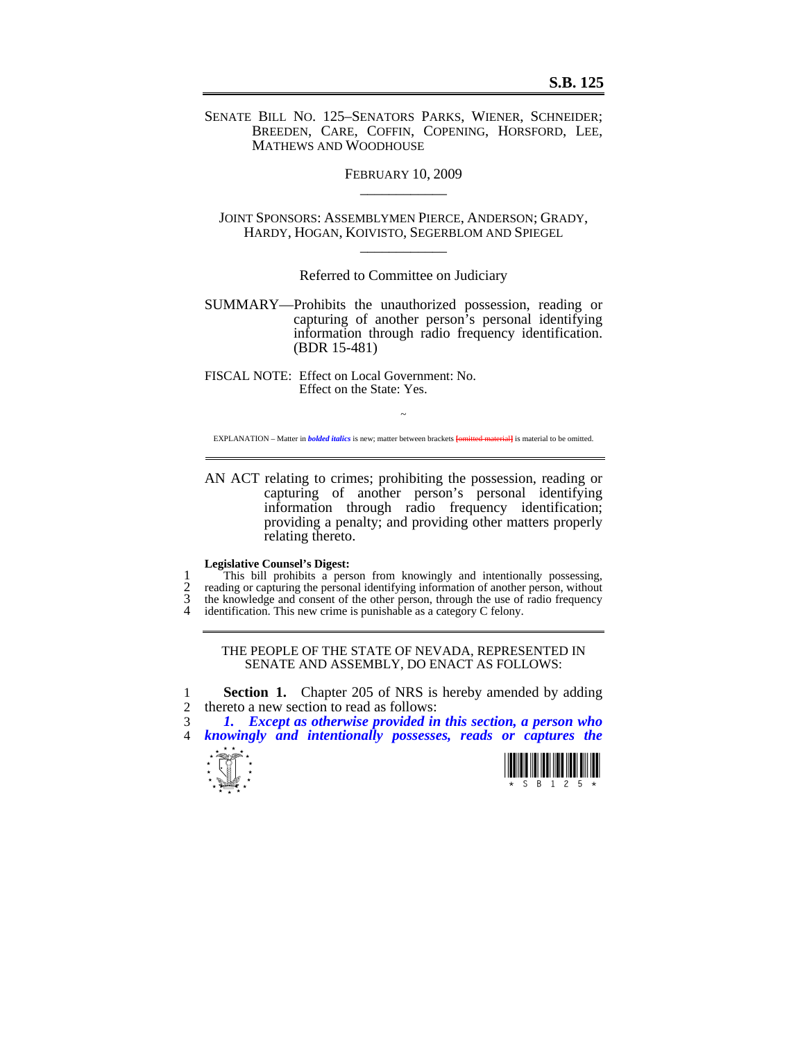SENATE BILL NO. 125–SENATORS PARKS, WIENER, SCHNEIDER; BREEDEN, CARE, COFFIN, COPENING, HORSFORD, LEE, MATHEWS AND WOODHOUSE

> FEBRUARY 10, 2009  $\overline{\phantom{a}}$  , where  $\overline{\phantom{a}}$

JOINT SPONSORS: ASSEMBLYMEN PIERCE, ANDERSON; GRADY, HARDY, HOGAN, KOIVISTO, SEGERBLOM AND SPIEGEL  $\overline{\phantom{a}}$ 

Referred to Committee on Judiciary

SUMMARY—Prohibits the unauthorized possession, reading or capturing of another person's personal identifying information through radio frequency identification. (BDR 15-481)

FISCAL NOTE: Effect on Local Government: No. Effect on the State: Yes.

 $\sim$ EXPLANATION – Matter in *bolded italics* is new; matter between brackets **[**omitted material**]** is material to be omitted.

AN ACT relating to crimes; prohibiting the possession, reading or capturing of another person's personal identifying information through radio frequency identification; providing a penalty; and providing other matters properly relating thereto.

## **Legislative Counsel's Digest:**

1 This bill prohibits a person from knowingly and intentionally possessing,<br>2 reading or capturing the personal identifying information of another person, without 2 reading or capturing the personal identifying information of another person, without the knowledge and consent of the other person, through the use of radio frequency 3 the knowledge and consent of the other person, through the use of radio frequency 4 identification. This new crime is punishable as a category C felony.

## THE PEOPLE OF THE STATE OF NEVADA, REPRESENTED IN SENATE AND ASSEMBLY, DO ENACT AS FOLLOWS:

1 **Section 1.** Chapter 205 of NRS is hereby amended by adding thereto a new section to read as follows: thereto a new section to read as follows:

3 *1. Except as otherwise provided in this section, a person who*  4 *knowingly and intentionally possesses, reads or captures the* 



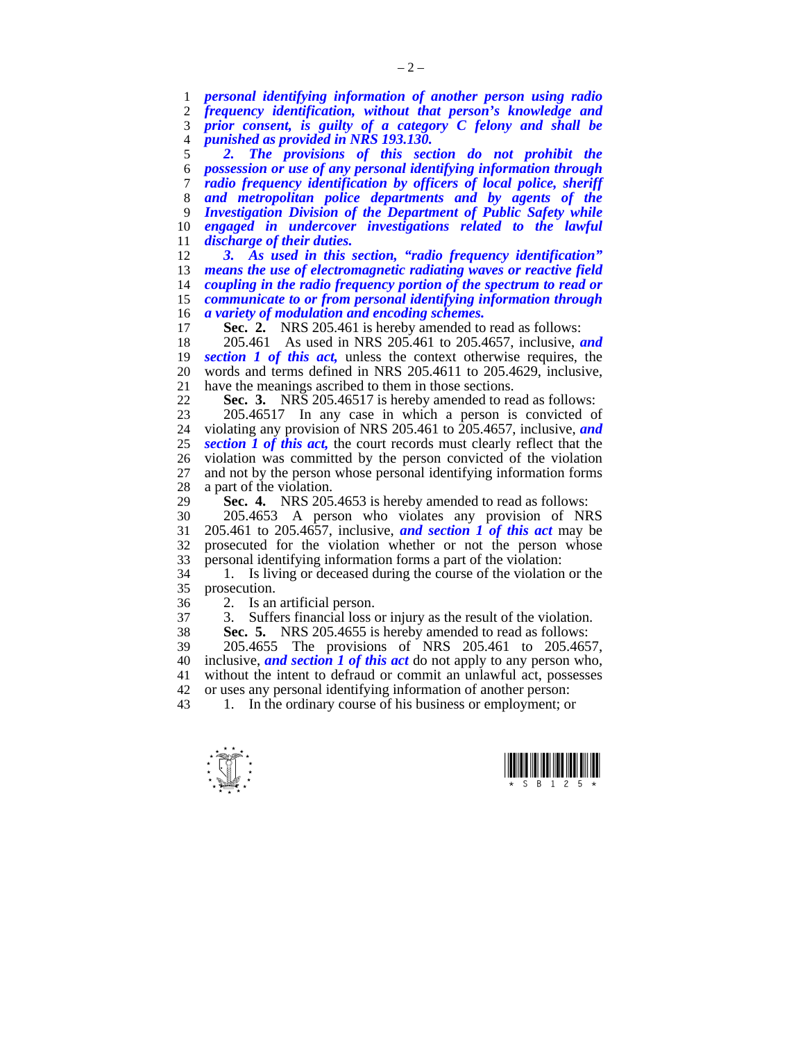*personal identifying information of another person using radio frequency identification, without that person's knowledge and prior consent, is guilty of a category C felony and shall be punished as provided in NRS 193.130.* 

*2. The provisions of this section do not prohibit the possession or use of any personal identifying information through radio frequency identification by officers of local police, sheriff and metropolitan police departments and by agents of the Investigation Division of the Department of Public Safety while engaged in undercover investigations related to the lawful discharge of their duties.* 

*3. As used in this section, "radio frequency identification" means the use of electromagnetic radiating waves or reactive field coupling in the radio frequency portion of the spectrum to read or communicate to or from personal identifying information through a variety of modulation and encoding schemes.* 

Sec. 2. NRS 205.461 is hereby amended to read as follows:

18 205.461 As used in NRS 205.461 to 205.4657, inclusive, *and*  **section 1 of this act,** unless the context otherwise requires, the 20 words and terms defined in NRS 205.4611 to 205.4629, inclusive, 21 have the meanings ascribed to them in those sections.<br>22 **Sec. 3.** NRS 205 46517 is hereby amended to re

**Sec. 3.** NRS 205.46517 is hereby amended to read as follows:

23 205.46517 In any case in which a person is convicted of 24 violating any provision of NRS 205.461 to 205.4657, inclusive, *and*  **section 1 of this act, the court records must clearly reflect that the** 26 violation was committed by the person convicted of the violation 27 and not by the person whose personal identifying information forms and not by the person whose personal identifying information forms 28 a part of the violation.

29 **Sec. 4.** NRS 205.4653 is hereby amended to read as follows:

 $30$  205.4653 A person who violates any provision of NRS<br> $31$  205.461 to 205.4657 inclusive *and section 1 of this act* may be 205.461 to 205.4657, inclusive, *and section 1 of this act* may be 32 prosecuted for the violation whether or not the person whose 33 personal identifying information forms a part of the violation:

1. Is living or deceased during the course of the violation or the 35 prosecution.

36 2. Is an artificial person.<br>37 3 Suffers financial loss of

Suffers financial loss or injury as the result of the violation.

38 **Sec. 5.** NRS 205.4655 is hereby amended to read as follows:

39 205.4655 The provisions of NRS 205.461 to 205.4657, 40 inclusive, *and section 1 of this act* do not apply to any person who, 41 without the intent to defraud or commit an unlawful act, possesses

42 or uses any personal identifying information of another person:<br>43 1. In the ordinary course of his business or employment: o 1. In the ordinary course of his business or employment; or